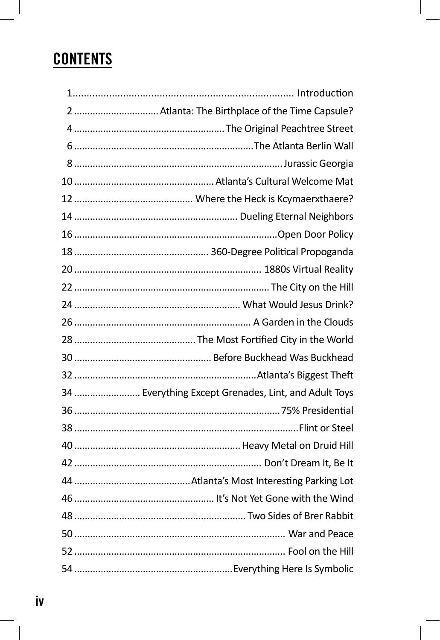## **CONTENTS**

| 2  Atlanta: The Birthplace of the Time Capsule?      |  |
|------------------------------------------------------|--|
|                                                      |  |
|                                                      |  |
|                                                      |  |
|                                                      |  |
|                                                      |  |
|                                                      |  |
|                                                      |  |
|                                                      |  |
|                                                      |  |
|                                                      |  |
|                                                      |  |
|                                                      |  |
|                                                      |  |
|                                                      |  |
|                                                      |  |
| 34  Everything Except Grenades, Lint, and Adult Toys |  |
|                                                      |  |
|                                                      |  |
|                                                      |  |
|                                                      |  |
|                                                      |  |
|                                                      |  |
|                                                      |  |
|                                                      |  |
|                                                      |  |
|                                                      |  |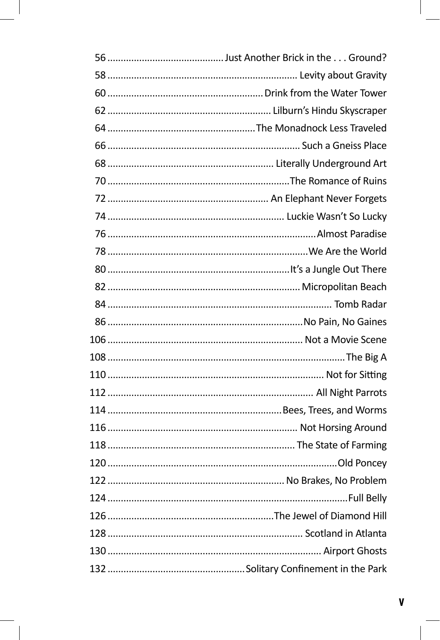| 120.<br>Old Poncev |
|--------------------|
|                    |
|                    |
|                    |
|                    |
|                    |
|                    |